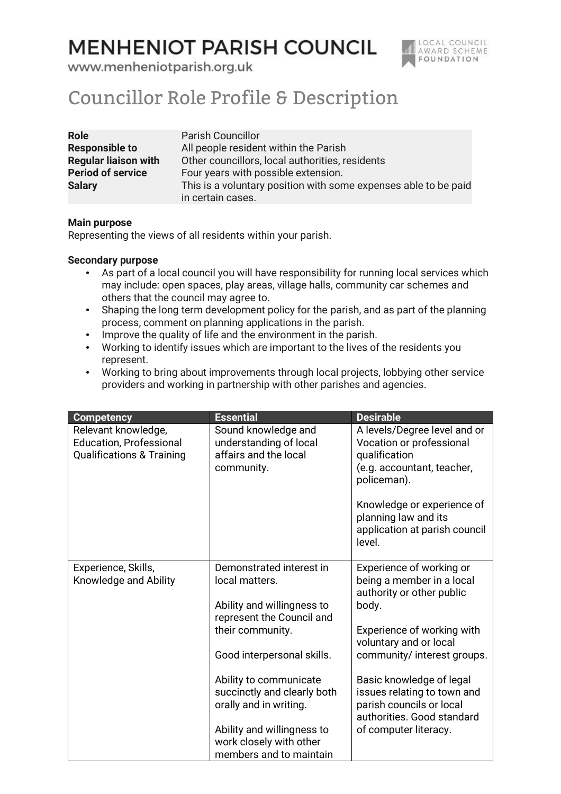## **MENHENIOT PARISH COUNCIL**



www.menheniotparish.org.uk

## Councillor Role Profile & Description

| <b>Role</b>                 | <b>Parish Councillor</b>                                        |
|-----------------------------|-----------------------------------------------------------------|
| <b>Responsible to</b>       | All people resident within the Parish                           |
| <b>Regular liaison with</b> | Other councillors, local authorities, residents                 |
| <b>Period of service</b>    | Four years with possible extension.                             |
| <b>Salary</b>               | This is a voluntary position with some expenses able to be paid |
|                             | in certain cases.                                               |

## Main purpose

Representing the views of all residents within your parish.

## Secondary purpose

- As part of a local council you will have responsibility for running local services which may include: open spaces, play areas, village halls, community car schemes and others that the council may agree to.
- Shaping the long term development policy for the parish, and as part of the planning process, comment on planning applications in the parish.
- Improve the quality of life and the environment in the parish.
- Working to identify issues which are important to the lives of the residents you represent.
- Working to bring about improvements through local projects, lobbying other service providers and working in partnership with other parishes and agencies.

| <b>Competency</b>                                                                             | <b>Essential</b>                                                                                                                         | <b>Desirable</b>                                                                                                                                     |
|-----------------------------------------------------------------------------------------------|------------------------------------------------------------------------------------------------------------------------------------------|------------------------------------------------------------------------------------------------------------------------------------------------------|
| Relevant knowledge,<br><b>Education, Professional</b><br><b>Qualifications &amp; Training</b> | Sound knowledge and<br>understanding of local<br>affairs and the local<br>community.                                                     | A levels/Degree level and or<br>Vocation or professional<br>qualification<br>(e.g. accountant, teacher,<br>policeman).<br>Knowledge or experience of |
|                                                                                               |                                                                                                                                          | planning law and its<br>application at parish council<br>level.                                                                                      |
| Experience, Skills,                                                                           | Demonstrated interest in                                                                                                                 | Experience of working or                                                                                                                             |
| Knowledge and Ability                                                                         | local matters.                                                                                                                           | being a member in a local                                                                                                                            |
|                                                                                               | Ability and willingness to                                                                                                               | authority or other public<br>body.                                                                                                                   |
|                                                                                               | represent the Council and                                                                                                                |                                                                                                                                                      |
|                                                                                               | their community.                                                                                                                         | Experience of working with<br>voluntary and or local                                                                                                 |
|                                                                                               | Good interpersonal skills.                                                                                                               | community/ interest groups.                                                                                                                          |
|                                                                                               | Ability to communicate<br>succinctly and clearly both<br>orally and in writing.<br>Ability and willingness to<br>work closely with other | Basic knowledge of legal<br>issues relating to town and<br>parish councils or local<br>authorities. Good standard<br>of computer literacy.           |
|                                                                                               | members and to maintain                                                                                                                  |                                                                                                                                                      |